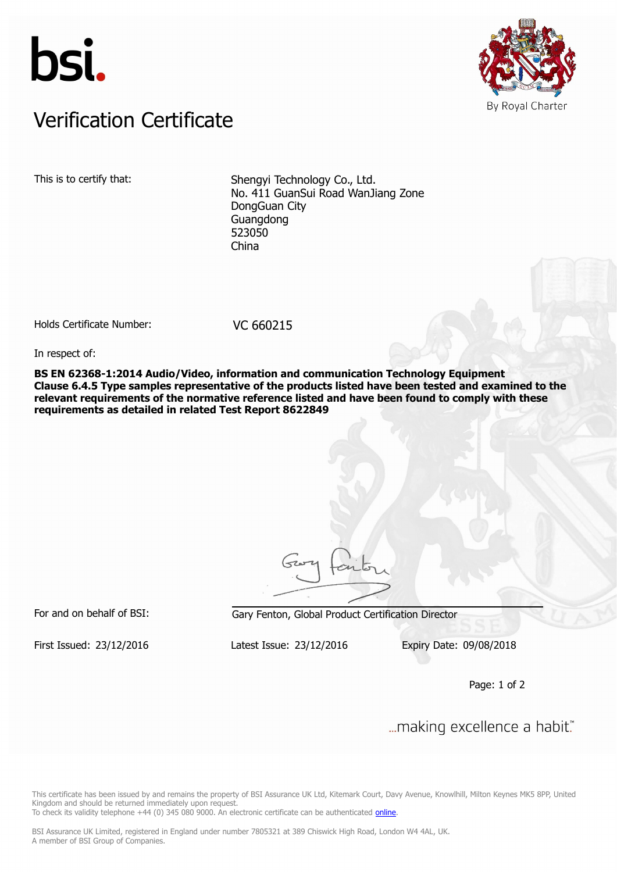



## Verification Certificate Verification Certificate

This is to certify that: Shengyi Technology Co., Ltd. No. 411 GuanSui Road WanJiang Zone DongGuan City Guangdong 523050 China

Holds Certificate Number: VC 660215

In respect of:

**BS EN 62368-1:2014 Audio/Video, information and communication Technology Equipment Clause 6.4.5 Type samples representative of the products listed have been tested and examined to the relevant requirements of the normative reference listed and have been found to comply with these requirements as detailed in related Test Report 8622849**

For and on behalf of BSI: Gary Fenton, Global Product Certification Director

First Issued: 23/12/2016 Latest Issue: 23/12/2016 Expiry Date: 09/08/2018

Page: 1 of 2

... making excellence a habit."

This certificate has been issued by and remains the property of BSI Assurance UK Ltd, Kitemark Court, Davy Avenue, Knowlhill, Milton Keynes MK5 8PP, United Kingdom and should be returned immediately upon request.

To check its validity telephone +44 (0) 345 080 9000. An electronic certificate can be authenticated *[online](https://pgplus.bsigroup.com/CertificateValidation/CertificateValidator.aspx?CertificateNumber=VC+660215&ReIssueDate=23%2f12%2f2016&Template=uk)*.

BSI Assurance UK Limited, registered in England under number 7805321 at 389 Chiswick High Road, London W4 4AL, UK. A member of BSI Group of Companies.